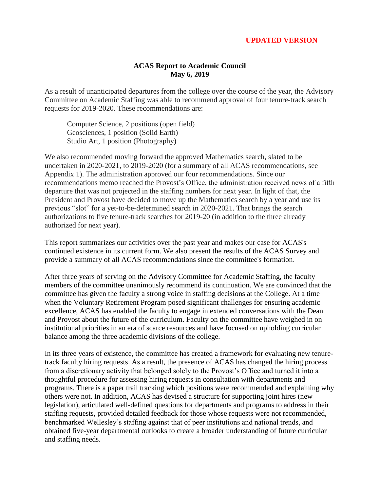#### **UPDATED VERSION**

#### **ACAS Report to Academic Council May 6, 2019**

As a result of unanticipated departures from the college over the course of the year, the Advisory Committee on Academic Staffing was able to recommend approval of four tenure-track search requests for 2019-2020. These recommendations are:

Computer Science, 2 positions (open field) Geosciences, 1 position (Solid Earth) Studio Art, 1 position (Photography)

We also recommended moving forward the approved Mathematics search, slated to be undertaken in 2020-2021, to 2019-2020 (for a summary of all ACAS recommendations, see Appendix 1). The administration approved our four recommendations. Since our recommendations memo reached the Provost's Office, the administration received news of a fifth departure that was not projected in the staffing numbers for next year. In light of that, the President and Provost have decided to move up the Mathematics search by a year and use its previous "slot" for a yet-to-be-determined search in 2020-2021. That brings the search authorizations to five tenure-track searches for 2019-20 (in addition to the three already authorized for next year).

This report summarizes our activities over the past year and makes our case for ACAS's continued existence in its current form. We also present the results of the ACAS Survey and provide a summary of all ACAS recommendations since the committee's formation.

After three years of serving on the Advisory Committee for Academic Staffing, the faculty members of the committee unanimously recommend its continuation. We are convinced that the committee has given the faculty a strong voice in staffing decisions at the College. At a time when the Voluntary Retirement Program posed significant challenges for ensuring academic excellence, ACAS has enabled the faculty to engage in extended conversations with the Dean and Provost about the future of the curriculum. Faculty on the committee have weighed in on institutional priorities in an era of scarce resources and have focused on upholding curricular balance among the three academic divisions of the college.

In its three years of existence, the committee has created a framework for evaluating new tenuretrack faculty hiring requests. As a result, the presence of ACAS has changed the hiring process from a discretionary activity that belonged solely to the Provost's Office and turned it into a thoughtful procedure for assessing hiring requests in consultation with departments and programs. There is a paper trail tracking which positions were recommended and explaining why others were not. In addition, ACAS has devised a structure for supporting joint hires (new legislation), articulated well-defined questions for departments and programs to address in their staffing requests, provided detailed feedback for those whose requests were not recommended, benchmarked Wellesley's staffing against that of peer institutions and national trends, and obtained five-year departmental outlooks to create a broader understanding of future curricular and staffing needs.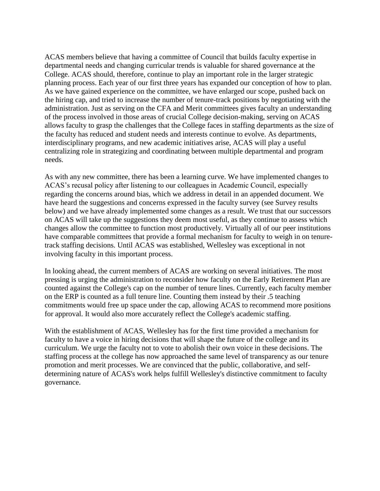ACAS members believe that having a committee of Council that builds faculty expertise in departmental needs and changing curricular trends is valuable for shared governance at the College. ACAS should, therefore, continue to play an important role in the larger strategic planning process. Each year of our first three years has expanded our conception of how to plan. As we have gained experience on the committee, we have enlarged our scope, pushed back on the hiring cap, and tried to increase the number of tenure-track positions by negotiating with the administration. Just as serving on the CFA and Merit committees gives faculty an understanding of the process involved in those areas of crucial College decision-making, serving on ACAS allows faculty to grasp the challenges that the College faces in staffing departments as the size of the faculty has reduced and student needs and interests continue to evolve. As departments, interdisciplinary programs, and new academic initiatives arise, ACAS will play a useful centralizing role in strategizing and coordinating between multiple departmental and program needs.

As with any new committee, there has been a learning curve. We have implemented changes to ACAS's recusal policy after listening to our colleagues in Academic Council, especially regarding the concerns around bias, which we address in detail in an appended document. We have heard the suggestions and concerns expressed in the faculty survey (see Survey results below) and we have already implemented some changes as a result. We trust that our successors on ACAS will take up the suggestions they deem most useful, as they continue to assess which changes allow the committee to function most productively. Virtually all of our peer institutions have comparable committees that provide a formal mechanism for faculty to weigh in on tenuretrack staffing decisions. Until ACAS was established, Wellesley was exceptional in not involving faculty in this important process.

In looking ahead, the current members of ACAS are working on several initiatives. The most pressing is urging the administration to reconsider how faculty on the Early Retirement Plan are counted against the College's cap on the number of tenure lines. Currently, each faculty member on the ERP is counted as a full tenure line. Counting them instead by their .5 teaching commitments would free up space under the cap, allowing ACAS to recommend more positions for approval. It would also more accurately reflect the College's academic staffing.

With the establishment of ACAS, Wellesley has for the first time provided a mechanism for faculty to have a voice in hiring decisions that will shape the future of the college and its curriculum. We urge the faculty not to vote to abolish their own voice in these decisions. The staffing process at the college has now approached the same level of transparency as our tenure promotion and merit processes. We are convinced that the public, collaborative, and selfdetermining nature of ACAS's work helps fulfill Wellesley's distinctive commitment to faculty governance.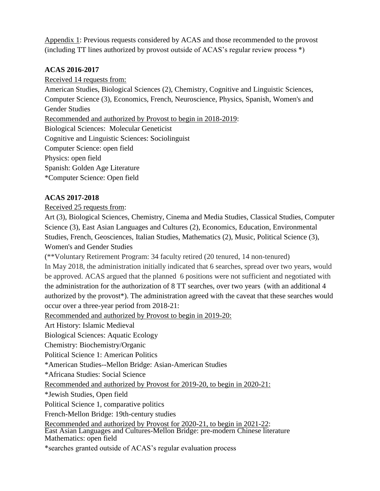Appendix 1: Previous requests considered by ACAS and those recommended to the provost (including TT lines authorized by provost outside of ACAS's regular review process \*)

## **ACAS 2016-2017**

Received 14 requests from:

American Studies, Biological Sciences (2), Chemistry, Cognitive and Linguistic Sciences, Computer Science (3), Economics, French, Neuroscience, Physics, Spanish, Women's and Gender Studies

Recommended and authorized by Provost to begin in 2018-2019:

Biological Sciences: Molecular Geneticist

Cognitive and Linguistic Sciences: Sociolinguist

Computer Science: open field

Physics: open field

Spanish: Golden Age Literature

\*Computer Science: Open field

# **ACAS 2017-2018**

## Received 25 requests from:

Art (3), Biological Sciences, Chemistry, Cinema and Media Studies, Classical Studies, Computer Science (3), East Asian Languages and Cultures (2), Economics, Education, Environmental Studies, French, Geosciences, Italian Studies, Mathematics (2), Music, Political Science (3), Women's and Gender Studies

(\*\*Voluntary Retirement Program: 34 faculty retired (20 tenured, 14 non-tenured)

In May 2018, the administration initially indicated that 6 searches, spread over two years, would be approved. ACAS argued that the planned 6 positions were not sufficient and negotiated with the administration for the authorization of 8 TT searches, over two years (with an additional 4 authorized by the provost\*). The administration agreed with the caveat that these searches would occur over a three-year period from 2018-21:

Recommended and authorized by Provost to begin in 2019-20:

Art History: Islamic Medieval

Biological Sciences: Aquatic Ecology

Chemistry: Biochemistry/Organic

Political Science 1: American Politics

\*American Studies--Mellon Bridge: Asian-American Studies

\*Africana Studies: Social Science

Recommended and authorized by Provost for 2019-20, to begin in 2020-21:

\*Jewish Studies, Open field

Political Science 1, comparative politics

French-Mellon Bridge: 19th-century studies

Recommended and authorized by Provost for 2020-21, to begin in 2021-22:

East Asian Languages and Cultures-Mellon Bridge: pre-modern Chinese literature Mathematics: open field

\*searches granted outside of ACAS's regular evaluation process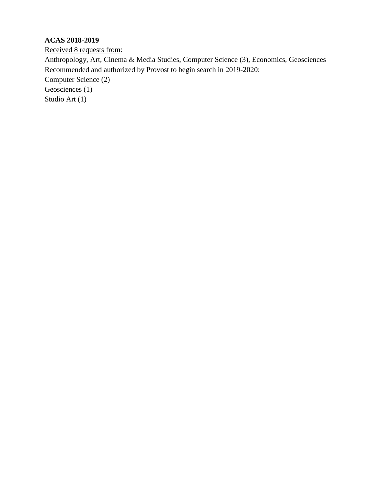# **ACAS 2018-2019**

Received 8 requests from: Anthropology, Art, Cinema & Media Studies, Computer Science (3), Economics, Geosciences Recommended and authorized by Provost to begin search in 2019-2020: Computer Science (2)

Geosciences (1)

Studio Art (1)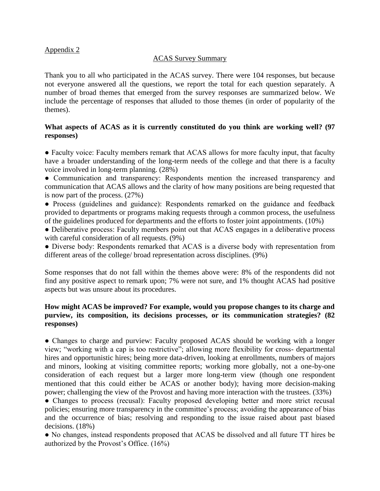## Appendix 2

### ACAS Survey Summary

Thank you to all who participated in the ACAS survey. There were 104 responses, but because not everyone answered all the questions, we report the total for each question separately. A number of broad themes that emerged from the survey responses are summarized below. We include the percentage of responses that alluded to those themes (in order of popularity of the themes).

## **What aspects of ACAS as it is currently constituted do you think are working well? (97 responses)**

• Faculty voice: Faculty members remark that ACAS allows for more faculty input, that faculty have a broader understanding of the long-term needs of the college and that there is a faculty voice involved in long-term planning. (28%)

• Communication and transparency: Respondents mention the increased transparency and communication that ACAS allows and the clarity of how many positions are being requested that is now part of the process. (27%)

● Process (guidelines and guidance): Respondents remarked on the guidance and feedback provided to departments or programs making requests through a common process, the usefulness of the guidelines produced for departments and the efforts to foster joint appointments. (10%)

• Deliberative process: Faculty members point out that ACAS engages in a deliberative process with careful consideration of all requests. (9%)

• Diverse body: Respondents remarked that ACAS is a diverse body with representation from different areas of the college/ broad representation across disciplines. (9%)

Some responses that do not fall within the themes above were: 8% of the respondents did not find any positive aspect to remark upon; 7% were not sure, and 1% thought ACAS had positive aspects but was unsure about its procedures.

## **How might ACAS be improved? For example, would you propose changes to its charge and purview, its composition, its decisions processes, or its communication strategies? (82 responses)**

• Changes to charge and purview: Faculty proposed ACAS should be working with a longer view; "working with a cap is too restrictive"; allowing more flexibility for cross- departmental hires and opportunistic hires; being more data-driven, looking at enrollments, numbers of majors and minors, looking at visiting committee reports; working more globally, not a one-by-one consideration of each request but a larger more long-term view (though one respondent mentioned that this could either be ACAS or another body); having more decision-making power; challenging the view of the Provost and having more interaction with the trustees. (33%)

• Changes to process (recusal): Faculty proposed developing better and more strict recusal policies; ensuring more transparency in the committee's process; avoiding the appearance of bias and the occurrence of bias; resolving and responding to the issue raised about past biased decisions. (18%)

● No changes, instead respondents proposed that ACAS be dissolved and all future TT hires be authorized by the Provost's Office. (16%)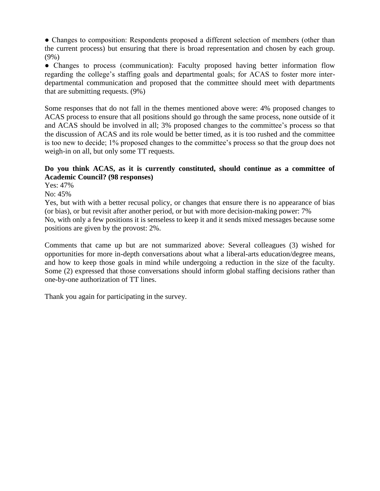• Changes to composition: Respondents proposed a different selection of members (other than the current process) but ensuring that there is broad representation and chosen by each group. (9%)

• Changes to process (communication): Faculty proposed having better information flow regarding the college's staffing goals and departmental goals; for ACAS to foster more interdepartmental communication and proposed that the committee should meet with departments that are submitting requests. (9%)

Some responses that do not fall in the themes mentioned above were: 4% proposed changes to ACAS process to ensure that all positions should go through the same process, none outside of it and ACAS should be involved in all; 3% proposed changes to the committee's process so that the discussion of ACAS and its role would be better timed, as it is too rushed and the committee is too new to decide; 1% proposed changes to the committee's process so that the group does not weigh-in on all, but only some TT requests.

## **Do you think ACAS, as it is currently constituted, should continue as a committee of Academic Council? (98 responses)**

Yes: 47%

No: 45%

Yes, but with with a better recusal policy, or changes that ensure there is no appearance of bias (or bias), or but revisit after another period, or but with more decision-making power: 7% No, with only a few positions it is senseless to keep it and it sends mixed messages because some positions are given by the provost: 2%.

Comments that came up but are not summarized above: Several colleagues (3) wished for opportunities for more in-depth conversations about what a liberal-arts education/degree means, and how to keep those goals in mind while undergoing a reduction in the size of the faculty. Some (2) expressed that those conversations should inform global staffing decisions rather than one-by-one authorization of TT lines.

Thank you again for participating in the survey.